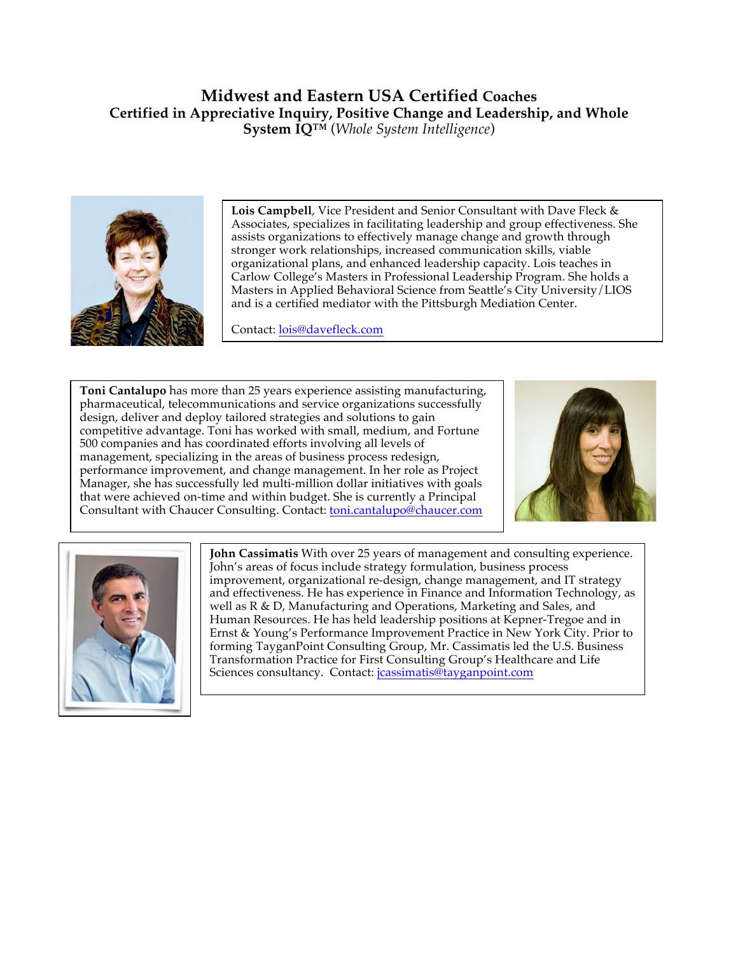## **Midwest and Eastern USA Certified Coaches Certified in Appreciative Inquiry, Positive Change and Leadership, and Whole System IQ™** (*Whole System Intelligence*)



**Lois Campbell**, Vice President and Senior Consultant with Dave Fleck & Associates, specializes in facilitating leadership and group effectiveness. She assists organizations to effectively manage change and growth through stronger work relationships, increased communication skills, viable organizational plans, and enhanced leadership capacity. Lois teaches in Carlow College's Masters in Professional Leadership Program. She holds a Masters in Applied Behavioral Science from Seattle's City University/LIOS and is a certified mediator with the Pittsburgh Mediation Center.

Contact: lois@davefleck.com

**Toni Cantalupo** has more than 25 years experience assisting manufacturing, pharmaceutical, telecommunications and service organizations successfully design, deliver and deploy tailored strategies and solutions to gain competitive advantage. Toni has worked with small, medium, and Fortune 500 companies and has coordinated efforts involving all levels of management, specializing in the areas of business process redesign, performance improvement, and change management. In her role as Project Manager, she has successfully led multi-million dollar initiatives with goals that were achieved on-time and within budget. She is currently a Principal Consultant with Chaucer Consulting. Contact: toni.cantalupo@chaucer.com





**John Cassimatis** With over 25 years of management and consulting experience. John's areas of focus include strategy formulation, business process improvement, organizational re-design, change management, and IT strategy and effectiveness. He has experience in Finance and Information Technology, as well as R & D, Manufacturing and Operations, Marketing and Sales, and Human Resources. He has held leadership positions at Kepner-Tregoe and in Ernst & Young's Performance Improvement Practice in New York City. Prior to forming TayganPoint Consulting Group, Mr. Cassimatis led the U.S. Business Transformation Practice for First Consulting Group's Healthcare and Life Sciences consultancy. Contact: *jcassimatis@tayganpoint.com*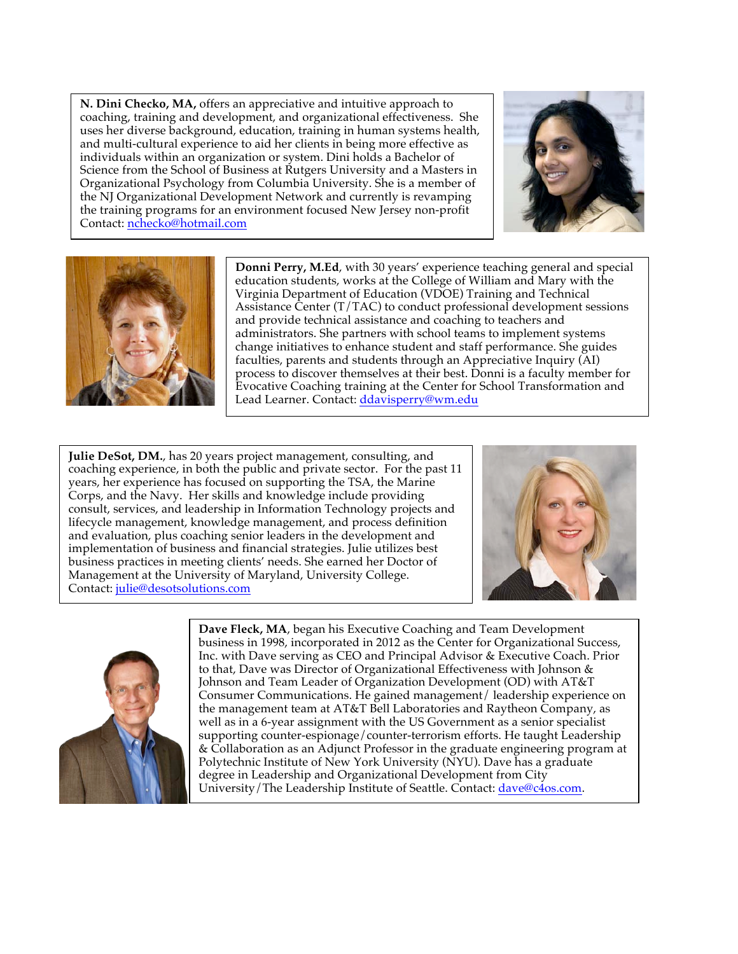**N. Dini Checko, MA,** offers an appreciative and intuitive approach to coaching, training and development, and organizational effectiveness. She uses her diverse background, education, training in human systems health, and multi-cultural experience to aid her clients in being more effective as individuals within an organization or system. Dini holds a Bachelor of Science from the School of Business at Rutgers University and a Masters in Organizational Psychology from Columbia University. She is a member of the NJ Organizational Development Network and currently is revamping the training programs for an environment focused New Jersey non-profit Contact: nchecko@hotmail.com





**Donni Perry, M.Ed**, with 30 years' experience teaching general and special education students, works at the College of William and Mary with the Virginia Department of Education (VDOE) Training and Technical Assistance Center (T/TAC) to conduct professional development sessions and provide technical assistance and coaching to teachers and administrators. She partners with school teams to implement systems change initiatives to enhance student and staff performance. She guides faculties, parents and students through an Appreciative Inquiry (AI) process to discover themselves at their best. Donni is a faculty member for Evocative Coaching training at the Center for School Transformation and Lead Learner. Contact: ddavisperry@wm.edu

**Julie DeSot, DM.**, has 20 years project management, consulting, and coaching experience, in both the public and private sector. For the past 11 years, her experience has focused on supporting the TSA, the Marine Corps, and the Navy. Her skills and knowledge include providing consult, services, and leadership in Information Technology projects and lifecycle management, knowledge management, and process definition and evaluation, plus coaching senior leaders in the development and implementation of business and financial strategies. Julie utilizes best business practices in meeting clients' needs. She earned her Doctor of Management at the University of Maryland, University College. Contact: julie@desotsolutions.com





**Dave Fleck, MA**, began his Executive Coaching and Team Development business in 1998, incorporated in 2012 as the Center for Organizational Success, Inc. with Dave serving as CEO and Principal Advisor & Executive Coach. Prior to that, Dave was Director of Organizational Effectiveness with Johnson & Johnson and Team Leader of Organization Development (OD) with AT&T Consumer Communications. He gained management/ leadership experience on the management team at AT&T Bell Laboratories and Raytheon Company, as well as in a 6-year assignment with the US Government as a senior specialist supporting counter-espionage/counter-terrorism efforts. He taught Leadership & Collaboration as an Adjunct Professor in the graduate engineering program at Polytechnic Institute of New York University (NYU). Dave has a graduate degree in Leadership and Organizational Development from City University/The Leadership Institute of Seattle. Contact: dave@c4os.com.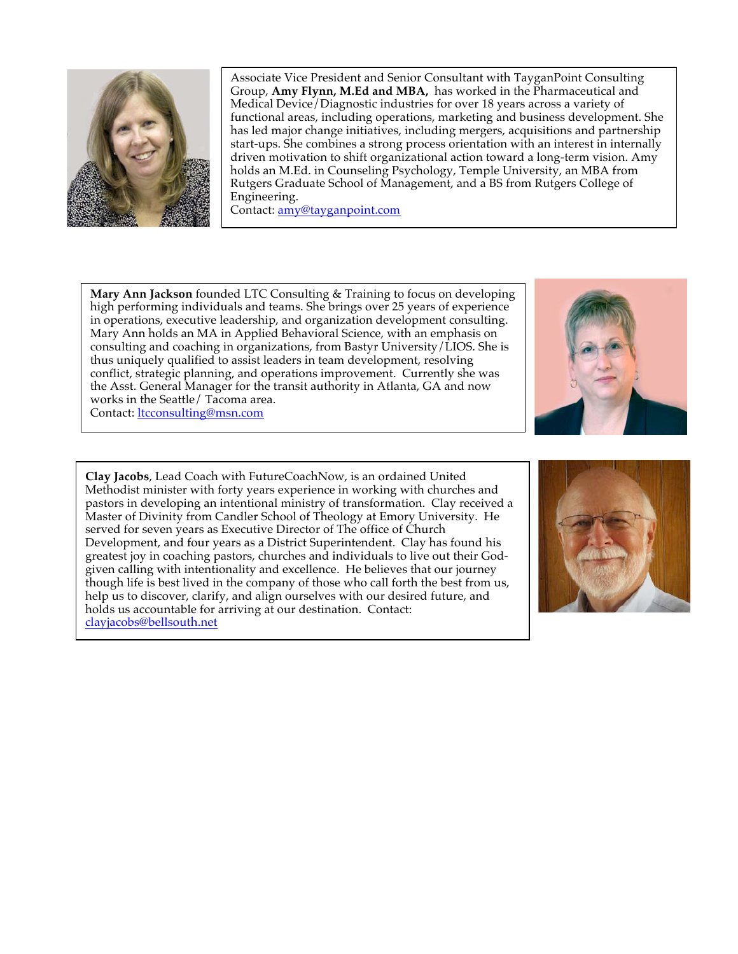

Associate Vice President and Senior Consultant with TayganPoint Consulting Group, **Amy Flynn, M.Ed and MBA,** has worked in the Pharmaceutical and Medical Device/Diagnostic industries for over 18 years across a variety of functional areas, including operations, marketing and business development. She has led major change initiatives, including mergers, acquisitions and partnership start-ups. She combines a strong process orientation with an interest in internally driven motivation to shift organizational action toward a long-term vision. Amy holds an M.Ed. in Counseling Psychology, Temple University, an MBA from Rutgers Graduate School of Management, and a BS from Rutgers College of Engineering.

Contact: amy@tayganpoint.com

**Mary Ann Jackson** founded LTC Consulting & Training to focus on developing high performing individuals and teams. She brings over 25 years of experience in operations, executive leadership, and organization development consulting. Mary Ann holds an MA in Applied Behavioral Science, with an emphasis on consulting and coaching in organizations, from Bastyr University/LIOS. She is thus uniquely qualified to assist leaders in team development, resolving conflict, strategic planning, and operations improvement. Currently she was the Asst. General Manager for the transit authority in Atlanta, GA and now works in the Seattle/ Tacoma area. Contact: ltcconsulting@msn.com

**Clay Jacobs**, Lead Coach with FutureCoachNow, is an ordained United Methodist minister with forty years experience in working with churches and pastors in developing an intentional ministry of transformation. Clay received a Master of Divinity from Candler School of Theology at Emory University. He served for seven years as Executive Director of The office of Church Development, and four years as a District Superintendent. Clay has found his greatest joy in coaching pastors, churches and individuals to live out their Godgiven calling with intentionality and excellence. He believes that our journey though life is best lived in the company of those who call forth the best from us, help us to discover, clarify, and align ourselves with our desired future, and holds us accountable for arriving at our destination. Contact: clayjacobs@bellsouth.net

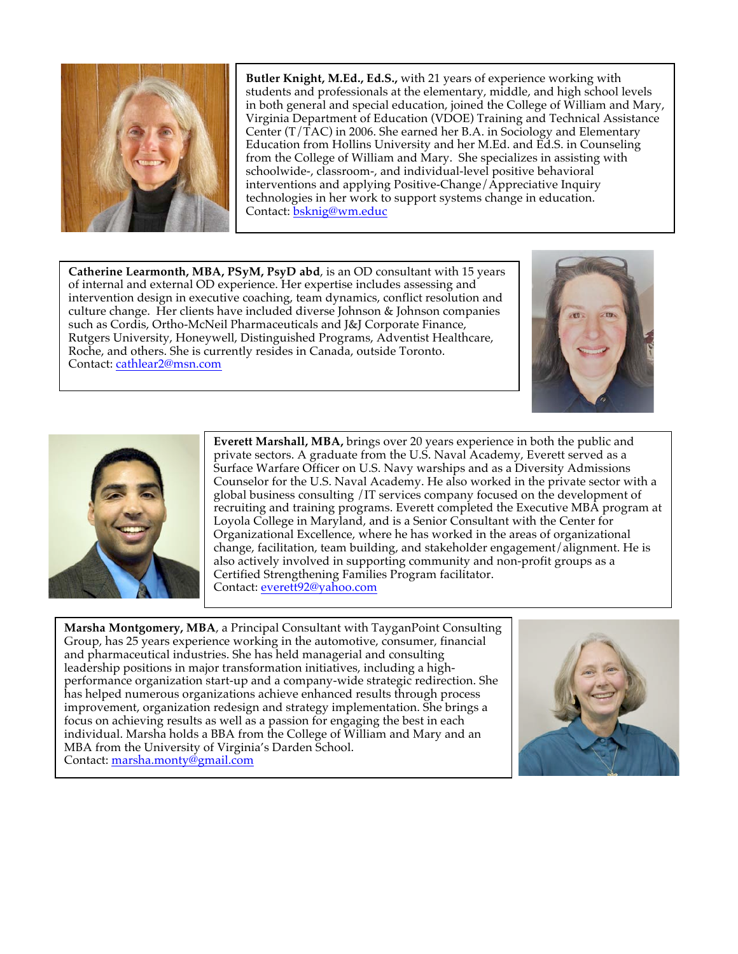

**Butler Knight, M.Ed., Ed.S.,** with 21 years of experience working with students and professionals at the elementary, middle, and high school levels in both general and special education, joined the College of William and Mary, Virginia Department of Education (VDOE) Training and Technical Assistance Center  $(T/TAC)$  in 2006. She earned her B.A. in Sociology and Elementary Education from Hollins University and her M.Ed. and Ed.S. in Counseling from the College of William and Mary. She specializes in assisting with schoolwide-, classroom-, and individual-level positive behavioral interventions and applying Positive-Change/Appreciative Inquiry technologies in her work to support systems change in education. Contact: bsknig@wm.educ

**Catherine Learmonth, MBA, PSyM, PsyD abd**, is an OD consultant with 15 years of internal and external OD experience. Her expertise includes assessing and intervention design in executive coaching, team dynamics, conflict resolution and culture change. Her clients have included diverse Johnson & Johnson companies such as Cordis, Ortho-McNeil Pharmaceuticals and J&J Corporate Finance, Rutgers University, Honeywell, Distinguished Programs, Adventist Healthcare, Roche, and others. She is currently resides in Canada, outside Toronto. Contact: cathlear2@msn.com





**Everett Marshall, MBA,** brings over 20 years experience in both the public and private sectors. A graduate from the U.S. Naval Academy, Everett served as a Surface Warfare Officer on U.S. Navy warships and as a Diversity Admissions Counselor for the U.S. Naval Academy. He also worked in the private sector with a global business consulting /IT services company focused on the development of recruiting and training programs. Everett completed the Executive MBA program at Loyola College in Maryland, and is a Senior Consultant with the Center for Organizational Excellence, where he has worked in the areas of organizational change, facilitation, team building, and stakeholder engagement/alignment. He is also actively involved in supporting community and non-profit groups as a Certified Strengthening Families Program facilitator. Contact: everett92@yahoo.com

**Marsha Montgomery, MBA**, a Principal Consultant with TayganPoint Consulting Group, has 25 years experience working in the automotive, consumer, financial and pharmaceutical industries. She has held managerial and consulting leadership positions in major transformation initiatives, including a highperformance organization start-up and a company-wide strategic redirection. She has helped numerous organizations achieve enhanced results through process improvement, organization redesign and strategy implementation. She brings a focus on achieving results as well as a passion for engaging the best in each individual. Marsha holds a BBA from the College of William and Mary and an MBA from the University of Virginia's Darden School. Contact: marsha.monty@gmail.com

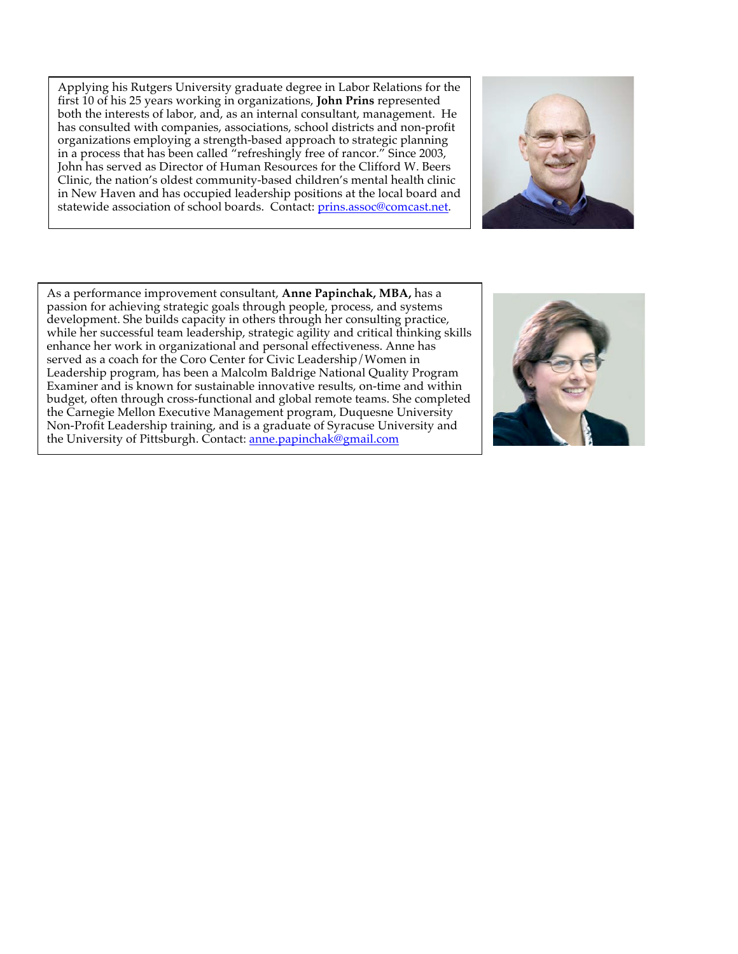Applying his Rutgers University graduate degree in Labor Relations for the first 10 of his 25 years working in organizations, **John Prins** represented both the interests of labor, and, as an internal consultant, management. He has consulted with companies, associations, school districts and non-profit organizations employing a strength-based approach to strategic planning in a process that has been called "refreshingly free of rancor." Since 2003, John has served as Director of Human Resources for the Clifford W. Beers Clinic, the nation's oldest community-based children's mental health clinic in New Haven and has occupied leadership positions at the local board and statewide association of school boards. Contact: prins.assoc@comcast.net.



As a performance improvement consultant, **Anne Papinchak, MBA,** has a passion for achieving strategic goals through people, process, and systems development. She builds capacity in others through her consulting practice, while her successful team leadership, strategic agility and critical thinking skills enhance her work in organizational and personal effectiveness. Anne has served as a coach for the Coro Center for Civic Leadership/Women in Leadership program, has been a Malcolm Baldrige National Quality Program Examiner and is known for sustainable innovative results, on-time and within budget, often through cross-functional and global remote teams. She completed the Carnegie Mellon Executive Management program, Duquesne University Non-Profit Leadership training, and is a graduate of Syracuse University and the University of Pittsburgh. Contact: anne.papinchak@gmail.com

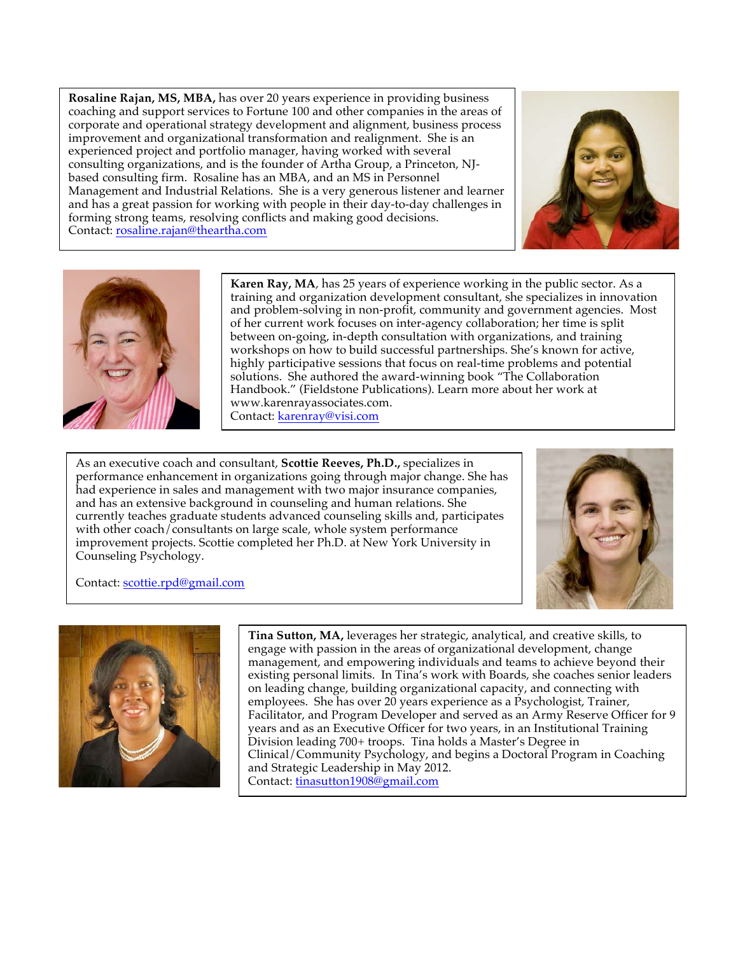**Rosaline Rajan, MS, MBA,** has over 20 years experience in providing business coaching and support services to Fortune 100 and other companies in the areas of corporate and operational strategy development and alignment, business process improvement and organizational transformation and realignment. She is an experienced project and portfolio manager, having worked with several consulting organizations, and is the founder of Artha Group, a Princeton, NJbased consulting firm. Rosaline has an MBA, and an MS in Personnel Management and Industrial Relations. She is a very generous listener and learner and has a great passion for working with people in their day-to-day challenges in forming strong teams, resolving conflicts and making good decisions. Contact: rosaline.rajan@theartha.com





**Karen Ray, MA**, has 25 years of experience working in the public sector. As a training and organization development consultant, she specializes in innovation and problem-solving in non-profit, community and government agencies. Most of her current work focuses on inter-agency collaboration; her time is split between on-going, in-depth consultation with organizations, and training workshops on how to build successful partnerships. She's known for active, highly participative sessions that focus on real-time problems and potential solutions. She authored the award-winning book "The Collaboration Handbook." (Fieldstone Publications). Learn more about her work at www.karenrayassociates.com. Contact: karenray@visi.com

As an executive coach and consultant, **Scottie Reeves, Ph.D.,** specializes in performance enhancement in organizations going through major change. She has had experience in sales and management with two major insurance companies, and has an extensive background in counseling and human relations. She currently teaches graduate students advanced counseling skills and, participates with other coach/consultants on large scale, whole system performance improvement projects. Scottie completed her Ph.D. at New York University in Counseling Psychology.



Contact: scottie.rpd@gmail.com



**Tina Sutton, MA,** leverages her strategic, analytical, and creative skills, to engage with passion in the areas of organizational development, change management, and empowering individuals and teams to achieve beyond their existing personal limits. In Tina's work with Boards, she coaches senior leaders on leading change, building organizational capacity, and connecting with employees. She has over 20 years experience as a Psychologist, Trainer, Facilitator, and Program Developer and served as an Army Reserve Officer for 9 years and as an Executive Officer for two years, in an Institutional Training Division leading 700+ troops. Tina holds a Master's Degree in Clinical/Community Psychology, and begins a Doctoral Program in Coaching and Strategic Leadership in May 2012. Contact: tinasutton1908@gmail.com